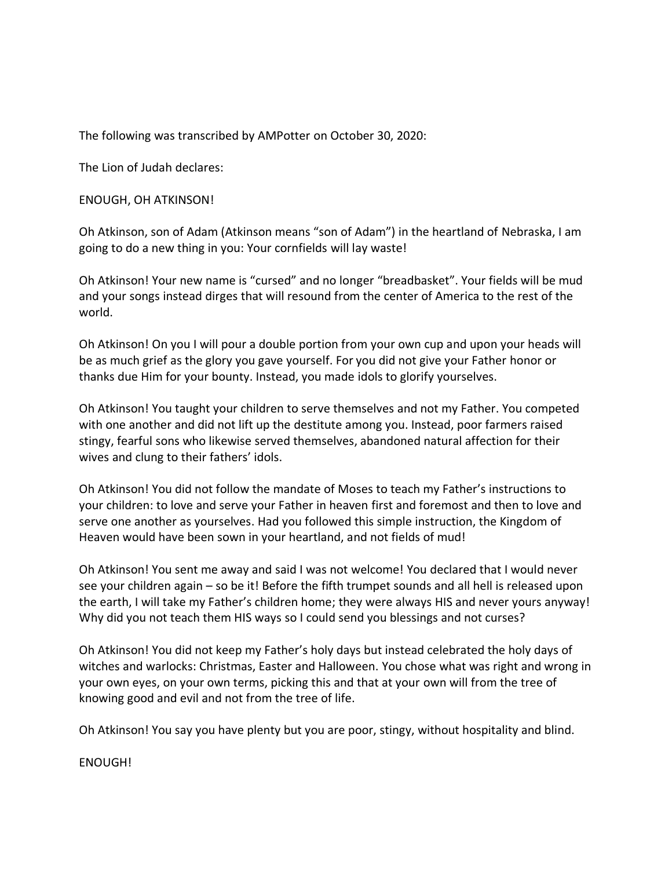The following was transcribed by AMPotter on October 30, 2020:

The Lion of Judah declares:

ENOUGH, OH ATKINSON!

Oh Atkinson, son of Adam (Atkinson means "son of Adam") in the heartland of Nebraska, I am going to do a new thing in you: Your cornfields will lay waste!

Oh Atkinson! Your new name is "cursed" and no longer "breadbasket". Your fields will be mud and your songs instead dirges that will resound from the center of America to the rest of the world.

Oh Atkinson! On you I will pour a double portion from your own cup and upon your heads will be as much grief as the glory you gave yourself. For you did not give your Father honor or thanks due Him for your bounty. Instead, you made idols to glorify yourselves.

Oh Atkinson! You taught your children to serve themselves and not my Father. You competed with one another and did not lift up the destitute among you. Instead, poor farmers raised stingy, fearful sons who likewise served themselves, abandoned natural affection for their wives and clung to their fathers' idols.

Oh Atkinson! You did not follow the mandate of Moses to teach my Father's instructions to your children: to love and serve your Father in heaven first and foremost and then to love and serve one another as yourselves. Had you followed this simple instruction, the Kingdom of Heaven would have been sown in your heartland, and not fields of mud!

Oh Atkinson! You sent me away and said I was not welcome! You declared that I would never see your children again – so be it! Before the fifth trumpet sounds and all hell is released upon the earth, I will take my Father's children home; they were always HIS and never yours anyway! Why did you not teach them HIS ways so I could send you blessings and not curses?

Oh Atkinson! You did not keep my Father's holy days but instead celebrated the holy days of witches and warlocks: Christmas, Easter and Halloween. You chose what was right and wrong in your own eyes, on your own terms, picking this and that at your own will from the tree of knowing good and evil and not from the tree of life.

Oh Atkinson! You say you have plenty but you are poor, stingy, without hospitality and blind.

ENOUGH!